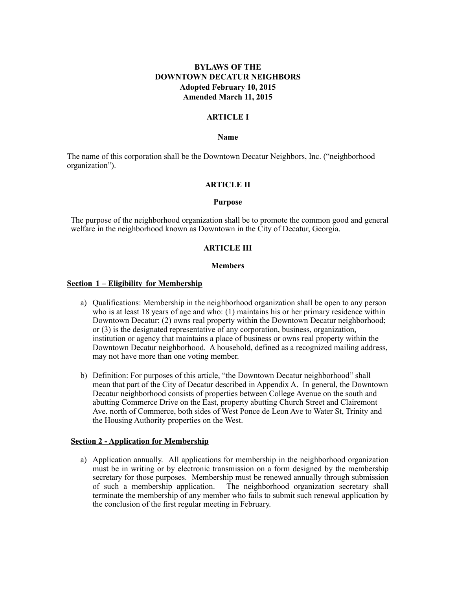# **BYLAWS OF THE DOWNTOWN DECATUR NEIGHBORS Adopted February 10, 2015 Amended March 11, 2015**

#### **ARTICLE I**

#### **Name**

The name of this corporation shall be the Downtown Decatur Neighbors, Inc. ("neighborhood organization").

#### **ARTICLE II**

#### **Purpose**

The purpose of the neighborhood organization shall be to promote the common good and general welfare in the neighborhood known as Downtown in the City of Decatur, Georgia.

#### **ARTICLE III**

#### **Members**

#### **Section 1 – Eligibility for Membership**

- a) Qualifications: Membership in the neighborhood organization shall be open to any person who is at least 18 years of age and who: (1) maintains his or her primary residence within Downtown Decatur; (2) owns real property within the Downtown Decatur neighborhood; or (3) is the designated representative of any corporation, business, organization, institution or agency that maintains a place of business or owns real property within the Downtown Decatur neighborhood. A household, defined as a recognized mailing address, may not have more than one voting member.
- b) Definition: For purposes of this article, "the Downtown Decatur neighborhood" shall mean that part of the City of Decatur described in Appendix A. In general, the Downtown Decatur neighborhood consists of properties between College Avenue on the south and abutting Commerce Drive on the East, property abutting Church Street and Clairemont Ave. north of Commerce, both sides of West Ponce de Leon Ave to Water St, Trinity and the Housing Authority properties on the West.

#### **Section 2 - Application for Membership**

a) Application annually. All applications for membership in the neighborhood organization must be in writing or by electronic transmission on a form designed by the membership secretary for those purposes. Membership must be renewed annually through submission of such a membership application. The neighborhood organization secretary shall terminate the membership of any member who fails to submit such renewal application by the conclusion of the first regular meeting in February.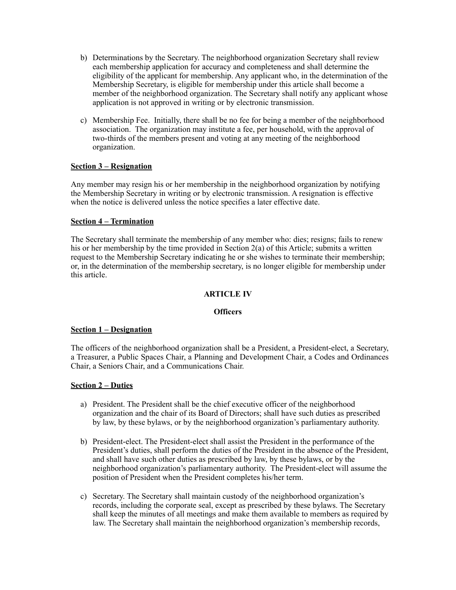- b) Determinations by the Secretary. The neighborhood organization Secretary shall review each membership application for accuracy and completeness and shall determine the eligibility of the applicant for membership. Any applicant who, in the determination of the Membership Secretary, is eligible for membership under this article shall become a member of the neighborhood organization. The Secretary shall notify any applicant whose application is not approved in writing or by electronic transmission.
- c) Membership Fee. Initially, there shall be no fee for being a member of the neighborhood association. The organization may institute a fee, per household, with the approval of two-thirds of the members present and voting at any meeting of the neighborhood organization.

# **Section 3 – Resignation**

Any member may resign his or her membership in the neighborhood organization by notifying the Membership Secretary in writing or by electronic transmission. A resignation is effective when the notice is delivered unless the notice specifies a later effective date.

## **Section 4 – Termination**

The Secretary shall terminate the membership of any member who: dies; resigns; fails to renew his or her membership by the time provided in Section 2(a) of this Article; submits a written request to the Membership Secretary indicating he or she wishes to terminate their membership; or, in the determination of the membership secretary, is no longer eligible for membership under this article.

## **ARTICLE IV**

#### **Officers**

## **Section 1 – Designation**

The officers of the neighborhood organization shall be a President, a President-elect, a Secretary, a Treasurer, a Public Spaces Chair, a Planning and Development Chair, a Codes and Ordinances Chair, a Seniors Chair, and a Communications Chair.

## **Section 2 – Duties**

- a) President. The President shall be the chief executive officer of the neighborhood organization and the chair of its Board of Directors; shall have such duties as prescribed by law, by these bylaws, or by the neighborhood organization's parliamentary authority.
- b) President-elect. The President-elect shall assist the President in the performance of the President's duties, shall perform the duties of the President in the absence of the President, and shall have such other duties as prescribed by law, by these bylaws, or by the neighborhood organization's parliamentary authority. The President-elect will assume the position of President when the President completes his/her term.
- c) Secretary. The Secretary shall maintain custody of the neighborhood organization's records, including the corporate seal, except as prescribed by these bylaws. The Secretary shall keep the minutes of all meetings and make them available to members as required by law. The Secretary shall maintain the neighborhood organization's membership records,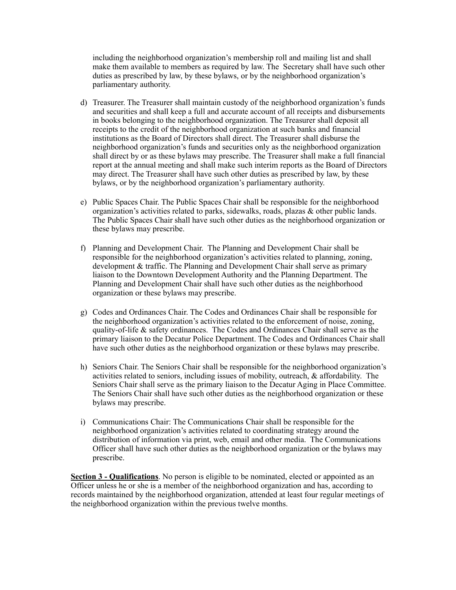including the neighborhood organization's membership roll and mailing list and shall make them available to members as required by law. The Secretary shall have such other duties as prescribed by law, by these bylaws, or by the neighborhood organization's parliamentary authority.

- d) Treasurer. The Treasurer shall maintain custody of the neighborhood organization's funds and securities and shall keep a full and accurate account of all receipts and disbursements in books belonging to the neighborhood organization. The Treasurer shall deposit all receipts to the credit of the neighborhood organization at such banks and financial institutions as the Board of Directors shall direct. The Treasurer shall disburse the neighborhood organization's funds and securities only as the neighborhood organization shall direct by or as these bylaws may prescribe. The Treasurer shall make a full financial report at the annual meeting and shall make such interim reports as the Board of Directors may direct. The Treasurer shall have such other duties as prescribed by law, by these bylaws, or by the neighborhood organization's parliamentary authority.
- e) Public Spaces Chair. The Public Spaces Chair shall be responsible for the neighborhood organization's activities related to parks, sidewalks, roads, plazas & other public lands. The Public Spaces Chair shall have such other duties as the neighborhood organization or these bylaws may prescribe.
- f) Planning and Development Chair. The Planning and Development Chair shall be responsible for the neighborhood organization's activities related to planning, zoning, development & traffic. The Planning and Development Chair shall serve as primary liaison to the Downtown Development Authority and the Planning Department. The Planning and Development Chair shall have such other duties as the neighborhood organization or these bylaws may prescribe.
- g) Codes and Ordinances Chair. The Codes and Ordinances Chair shall be responsible for the neighborhood organization's activities related to the enforcement of noise, zoning, quality-of-life & safety ordinances. The Codes and Ordinances Chair shall serve as the primary liaison to the Decatur Police Department. The Codes and Ordinances Chair shall have such other duties as the neighborhood organization or these bylaws may prescribe.
- h) Seniors Chair. The Seniors Chair shall be responsible for the neighborhood organization's activities related to seniors, including issues of mobility, outreach, & affordability. The Seniors Chair shall serve as the primary liaison to the Decatur Aging in Place Committee. The Seniors Chair shall have such other duties as the neighborhood organization or these bylaws may prescribe.
- i) Communications Chair: The Communications Chair shall be responsible for the neighborhood organization's activities related to coordinating strategy around the distribution of information via print, web, email and other media. The Communications Officer shall have such other duties as the neighborhood organization or the bylaws may prescribe.

**Section 3 - Qualifications**. No person is eligible to be nominated, elected or appointed as an Officer unless he or she is a member of the neighborhood organization and has, according to records maintained by the neighborhood organization, attended at least four regular meetings of the neighborhood organization within the previous twelve months.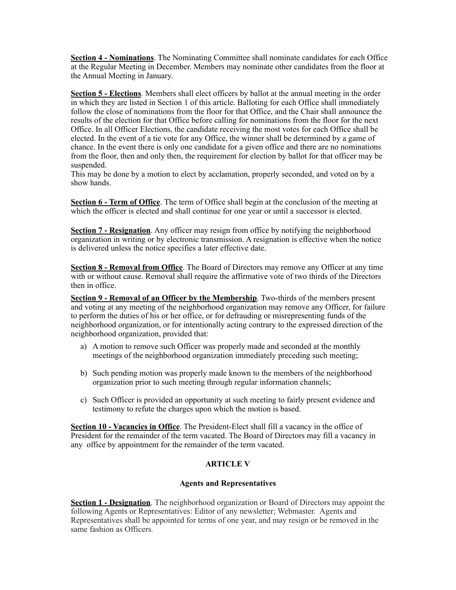**Section 4 - Nominations**. The Nominating Committee shall nominate candidates for each Office at the Regular Meeting in December. Members may nominate other candidates from the floor at the Annual Meeting in January.

**Section 5 - Elections**. Members shall elect officers by ballot at the annual meeting in the order in which they are listed in Section 1 of this article. Balloting for each Office shall immediately follow the close of nominations from the floor for that Office, and the Chair shall announce the results of the election for that Office before calling for nominations from the floor for the next Office. In all Officer Elections, the candidate receiving the most votes for each Office shall be elected. In the event of a tie vote for any Office, the winner shall be determined by a game of chance. In the event there is only one candidate for a given office and there are no nominations from the floor, then and only then, the requirement for election by ballot for that officer may be suspended.

This may be done by a motion to elect by acclamation, properly seconded, and voted on by a show hands.

**Section 6 - Term of Office**. The term of Office shall begin at the conclusion of the meeting at which the officer is elected and shall continue for one year or until a successor is elected.

**Section 7 - Resignation**. Any officer may resign from office by notifying the neighborhood organization in writing or by electronic transmission. A resignation is effective when the notice is delivered unless the notice specifies a later effective date.

**Section 8 - Removal from Office**. The Board of Directors may remove any Officer at any time with or without cause. Removal shall require the affirmative vote of two thirds of the Directors then in office.

**Section 9 - Removal of an Officer by the Membership**. Two-thirds of the members present and voting at any meeting of the neighborhood organization may remove any Officer, for failure to perform the duties of his or her office, or for defrauding or misrepresenting funds of the neighborhood organization, or for intentionally acting contrary to the expressed direction of the neighborhood organization, provided that:

- a) A motion to remove such Officer was properly made and seconded at the monthly meetings of the neighborhood organization immediately preceding such meeting;
- b) Such pending motion was properly made known to the members of the neighborhood organization prior to such meeting through regular information channels;
- c) Such Officer is provided an opportunity at such meeting to fairly present evidence and testimony to refute the charges upon which the motion is based.

**Section 10 - Vacancies in Office**. The President-Elect shall fill a vacancy in the office of President for the remainder of the term vacated. The Board of Directors may fill a vacancy in any office by appointment for the remainder of the term vacated.

## **ARTICLE V**

#### **Agents and Representatives**

**Section 1 - Designation**. The neighborhood organization or Board of Directors may appoint the following Agents or Representatives: Editor of any newsletter; Webmaster. Agents and Representatives shall be appointed for terms of one year, and may resign or be removed in the same fashion as Officers*.*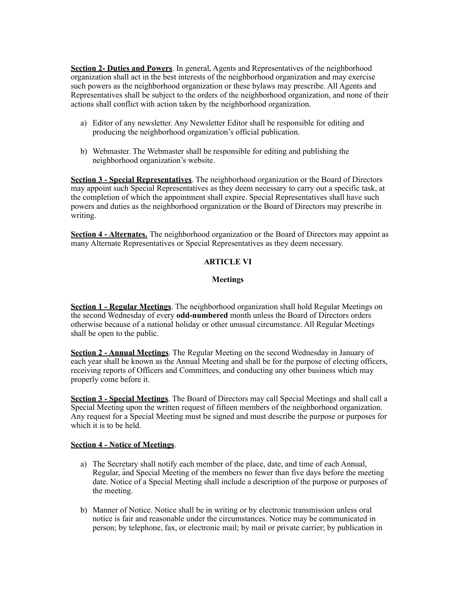**Section 2- Duties and Powers**. In general, Agents and Representatives of the neighborhood organization shall act in the best interests of the neighborhood organization and may exercise such powers as the neighborhood organization or these bylaws may prescribe. All Agents and Representatives shall be subject to the orders of the neighborhood organization, and none of their actions shall conflict with action taken by the neighborhood organization.

- a) Editor of any newsletter. Any Newsletter Editor shall be responsible for editing and producing the neighborhood organization's official publication.
- b) Webmaster. The Webmaster shall be responsible for editing and publishing the neighborhood organization's website.

**Section 3 - Special Representatives**. The neighborhood organization or the Board of Directors may appoint such Special Representatives as they deem necessary to carry out a specific task, at the completion of which the appointment shall expire. Special Representatives shall have such powers and duties as the neighborhood organization or the Board of Directors may prescribe in writing.

**Section 4 - Alternates.** The neighborhood organization or the Board of Directors may appoint as many Alternate Representatives or Special Representatives as they deem necessary.

# **ARTICLE VI**

## **Meetings**

**Section 1 - Regular Meetings**. The neighborhood organization shall hold Regular Meetings on the second Wednesday of every **odd-numbered** month unless the Board of Directors orders otherwise because of a national holiday or other unusual circumstance. All Regular Meetings shall be open to the public.

**Section 2 - Annual Meetings**. The Regular Meeting on the second Wednesday in January of each year shall be known as the Annual Meeting and shall be for the purpose of electing officers, receiving reports of Officers and Committees, and conducting any other business which may properly come before it.

**Section 3 - Special Meetings**. The Board of Directors may call Special Meetings and shall call a Special Meeting upon the written request of fifteen members of the neighborhood organization. Any request for a Special Meeting must be signed and must describe the purpose or purposes for which it is to be held.

## **Section 4 - Notice of Meetings**.

- a) The Secretary shall notify each member of the place, date, and time of each Annual, Regular, and Special Meeting of the members no fewer than five days before the meeting date. Notice of a Special Meeting shall include a description of the purpose or purposes of the meeting.
- b) Manner of Notice. Notice shall be in writing or by electronic transmission unless oral notice is fair and reasonable under the circumstances. Notice may be communicated in person; by telephone, fax, or electronic mail; by mail or private carrier; by publication in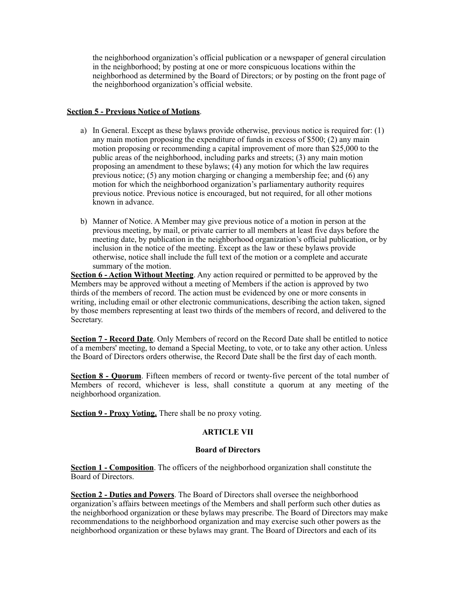the neighborhood organization's official publication or a newspaper of general circulation in the neighborhood; by posting at one or more conspicuous locations within the neighborhood as determined by the Board of Directors; or by posting on the front page of the neighborhood organization's official website.

## **Section 5 - Previous Notice of Motions**.

- a) In General. Except as these bylaws provide otherwise, previous notice is required for: (1) any main motion proposing the expenditure of funds in excess of \$500; (2) any main motion proposing or recommending a capital improvement of more than \$25,000 to the public areas of the neighborhood, including parks and streets; (3) any main motion proposing an amendment to these bylaws; (4) any motion for which the law requires previous notice; (5) any motion charging or changing a membership fee; and (6) any motion for which the neighborhood organization's parliamentary authority requires previous notice. Previous notice is encouraged, but not required, for all other motions known in advance.
- b) Manner of Notice. A Member may give previous notice of a motion in person at the previous meeting, by mail, or private carrier to all members at least five days before the meeting date, by publication in the neighborhood organization's official publication, or by inclusion in the notice of the meeting. Except as the law or these bylaws provide otherwise, notice shall include the full text of the motion or a complete and accurate summary of the motion.

**Section 6 - Action Without Meeting**. Any action required or permitted to be approved by the Members may be approved without a meeting of Members if the action is approved by two thirds of the members of record. The action must be evidenced by one or more consents in writing, including email or other electronic communications, describing the action taken, signed by those members representing at least two thirds of the members of record, and delivered to the Secretary.

**Section 7 - Record Date**. Only Members of record on the Record Date shall be entitled to notice of a members' meeting, to demand a Special Meeting, to vote, or to take any other action. Unless the Board of Directors orders otherwise, the Record Date shall be the first day of each month.

**Section 8 - Quorum**. Fifteen members of record or twenty-five percent of the total number of Members of record, whichever is less, shall constitute a quorum at any meeting of the neighborhood organization.

**Section 9 - Proxy Voting.** There shall be no proxy voting.

# **ARTICLE VII**

## **Board of Directors**

**Section 1 - Composition**. The officers of the neighborhood organization shall constitute the Board of Directors.

**Section 2 - Duties and Powers**. The Board of Directors shall oversee the neighborhood organization's affairs between meetings of the Members and shall perform such other duties as the neighborhood organization or these bylaws may prescribe. The Board of Directors may make recommendations to the neighborhood organization and may exercise such other powers as the neighborhood organization or these bylaws may grant. The Board of Directors and each of its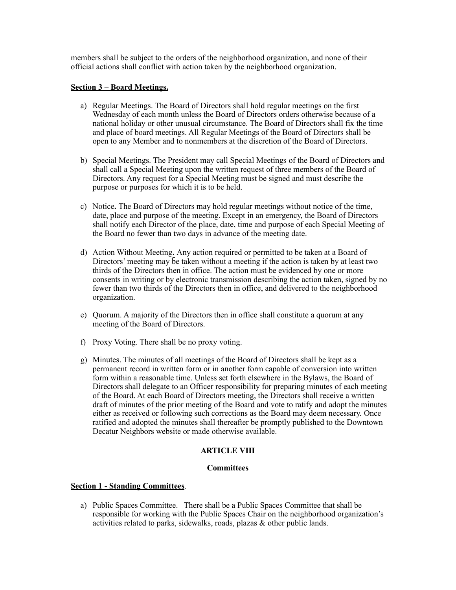members shall be subject to the orders of the neighborhood organization, and none of their official actions shall conflict with action taken by the neighborhood organization.

## **Section 3 – Board Meetings.**

- a) Regular Meetings. The Board of Directors shall hold regular meetings on the first Wednesday of each month unless the Board of Directors orders otherwise because of a national holiday or other unusual circumstance. The Board of Directors shall fix the time and place of board meetings. All Regular Meetings of the Board of Directors shall be open to any Member and to nonmembers at the discretion of the Board of Directors.
- b) Special Meetings. The President may call Special Meetings of the Board of Directors and shall call a Special Meeting upon the written request of three members of the Board of Directors. Any request for a Special Meeting must be signed and must describe the purpose or purposes for which it is to be held.
- c) Notice**.** The Board of Directors may hold regular meetings without notice of the time, date, place and purpose of the meeting. Except in an emergency, the Board of Directors shall notify each Director of the place, date, time and purpose of each Special Meeting of the Board no fewer than two days in advance of the meeting date.
- d) Action Without Meeting**.** Any action required or permitted to be taken at a Board of Directors' meeting may be taken without a meeting if the action is taken by at least two thirds of the Directors then in office. The action must be evidenced by one or more consents in writing or by electronic transmission describing the action taken, signed by no fewer than two thirds of the Directors then in office, and delivered to the neighborhood organization.
- e) Quorum. A majority of the Directors then in office shall constitute a quorum at any meeting of the Board of Directors.
- f) Proxy Voting. There shall be no proxy voting.
- g) Minutes. The minutes of all meetings of the Board of Directors shall be kept as a permanent record in written form or in another form capable of conversion into written form within a reasonable time. Unless set forth elsewhere in the Bylaws, the Board of Directors shall delegate to an Officer responsibility for preparing minutes of each meeting of the Board. At each Board of Directors meeting, the Directors shall receive a written draft of minutes of the prior meeting of the Board and vote to ratify and adopt the minutes either as received or following such corrections as the Board may deem necessary. Once ratified and adopted the minutes shall thereafter be promptly published to the Downtown Decatur Neighbors website or made otherwise available.

# **ARTICLE VIII**

## **Committees**

## **Section 1 - Standing Committees**.

a) Public Spaces Committee. There shall be a Public Spaces Committee that shall be responsible for working with the Public Spaces Chair on the neighborhood organization's activities related to parks, sidewalks, roads, plazas & other public lands.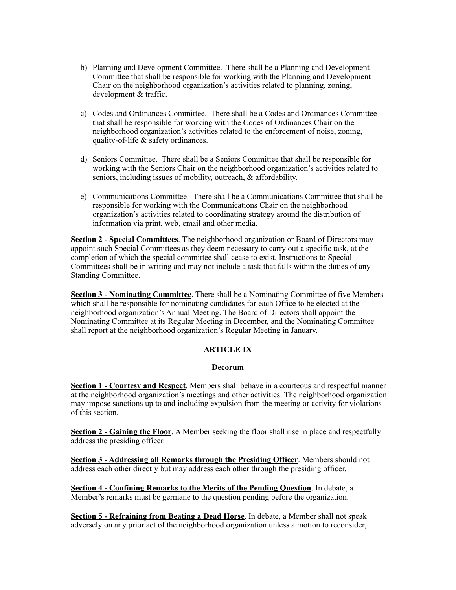- b) Planning and Development Committee. There shall be a Planning and Development Committee that shall be responsible for working with the Planning and Development Chair on the neighborhood organization's activities related to planning, zoning, development & traffic.
- c) Codes and Ordinances Committee. There shall be a Codes and Ordinances Committee that shall be responsible for working with the Codes of Ordinances Chair on the neighborhood organization's activities related to the enforcement of noise, zoning, quality-of-life & safety ordinances.
- d) Seniors Committee. There shall be a Seniors Committee that shall be responsible for working with the Seniors Chair on the neighborhood organization's activities related to seniors, including issues of mobility, outreach, & affordability.
- e) Communications Committee. There shall be a Communications Committee that shall be responsible for working with the Communications Chair on the neighborhood organization's activities related to coordinating strategy around the distribution of information via print, web, email and other media.

**Section 2 - Special Committees**. The neighborhood organization or Board of Directors may appoint such Special Committees as they deem necessary to carry out a specific task, at the completion of which the special committee shall cease to exist. Instructions to Special Committees shall be in writing and may not include a task that falls within the duties of any Standing Committee.

**Section 3 - Nominating Committee**. There shall be a Nominating Committee of five Members which shall be responsible for nominating candidates for each Office to be elected at the neighborhood organization's Annual Meeting. The Board of Directors shall appoint the Nominating Committee at its Regular Meeting in December, and the Nominating Committee shall report at the neighborhood organization's Regular Meeting in January.

# **ARTICLE IX**

#### **Decorum**

**Section 1 - Courtesy and Respect**. Members shall behave in a courteous and respectful manner at the neighborhood organization's meetings and other activities. The neighborhood organization may impose sanctions up to and including expulsion from the meeting or activity for violations of this section.

**Section 2 - Gaining the Floor**. A Member seeking the floor shall rise in place and respectfully address the presiding officer.

**Section 3 - Addressing all Remarks through the Presiding Officer**. Members should not address each other directly but may address each other through the presiding officer.

**Section 4 - Confining Remarks to the Merits of the Pending Question**. In debate, a Member's remarks must be germane to the question pending before the organization.

**Section 5 - Refraining from Beating a Dead Horse**. In debate, a Member shall not speak adversely on any prior act of the neighborhood organization unless a motion to reconsider,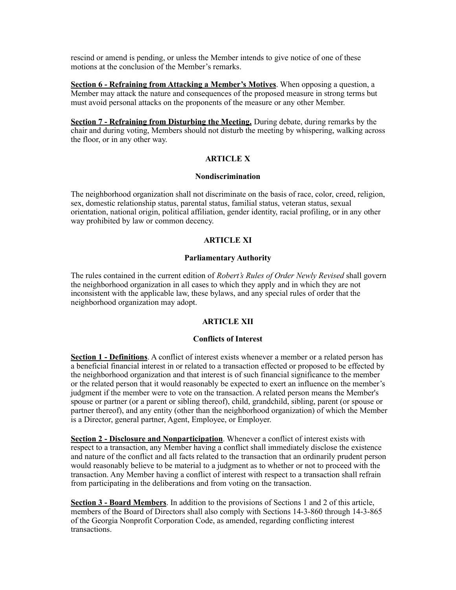rescind or amend is pending, or unless the Member intends to give notice of one of these motions at the conclusion of the Member's remarks.

**Section 6 - Refraining from Attacking a Member's Motives**. When opposing a question, a Member may attack the nature and consequences of the proposed measure in strong terms but must avoid personal attacks on the proponents of the measure or any other Member.

**Section 7 - Refraining from Disturbing the Meeting.** During debate, during remarks by the chair and during voting, Members should not disturb the meeting by whispering, walking across the floor, or in any other way.

#### **ARTICLE X**

#### **Nondiscrimination**

The neighborhood organization shall not discriminate on the basis of race, color, creed, religion, sex, domestic relationship status, parental status, familial status, veteran status, sexual orientation, national origin, political affiliation, gender identity, racial profiling, or in any other way prohibited by law or common decency.

## **ARTICLE XI**

## **Parliamentary Authority**

The rules contained in the current edition of *Robert's Rules of Order Newly Revised* shall govern the neighborhood organization in all cases to which they apply and in which they are not inconsistent with the applicable law, these bylaws, and any special rules of order that the neighborhood organization may adopt.

## **ARTICLE XII**

#### **Conflicts of Interest**

**Section 1 - Definitions**. A conflict of interest exists whenever a member or a related person has a beneficial financial interest in or related to a transaction effected or proposed to be effected by the neighborhood organization and that interest is of such financial significance to the member or the related person that it would reasonably be expected to exert an influence on the member's judgment if the member were to vote on the transaction. A related person means the Member's spouse or partner (or a parent or sibling thereof), child, grandchild, sibling, parent (or spouse or partner thereof), and any entity (other than the neighborhood organization) of which the Member is a Director, general partner, Agent, Employee, or Employer.

**Section 2 - Disclosure and Nonparticipation**. Whenever a conflict of interest exists with respect to a transaction, any Member having a conflict shall immediately disclose the existence and nature of the conflict and all facts related to the transaction that an ordinarily prudent person would reasonably believe to be material to a judgment as to whether or not to proceed with the transaction. Any Member having a conflict of interest with respect to a transaction shall refrain from participating in the deliberations and from voting on the transaction.

**Section 3 - Board Members**. In addition to the provisions of Sections 1 and 2 of this article, members of the Board of Directors shall also comply with Sections 14-3-860 through 14-3-865 of the Georgia Nonprofit Corporation Code, as amended, regarding conflicting interest transactions.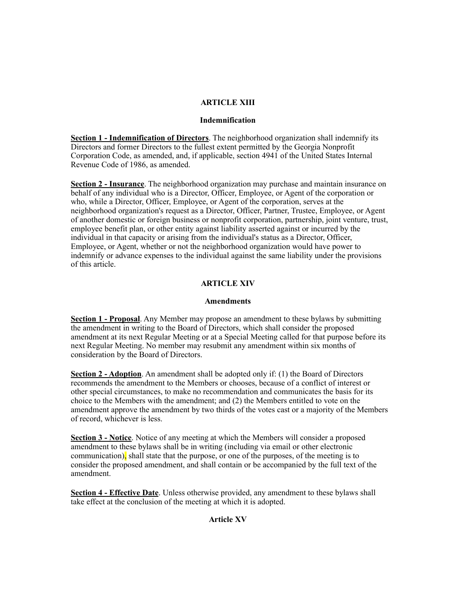## **ARTICLE XIII**

#### **Indemnification**

**Section 1 - Indemnification of Directors**. The neighborhood organization shall indemnify its Directors and former Directors to the fullest extent permitted by the Georgia Nonprofit Corporation Code, as amended, and, if applicable, section 4941 of the United States Internal Revenue Code of 1986, as amended.

**Section 2 - Insurance**. The neighborhood organization may purchase and maintain insurance on behalf of any individual who is a Director, Officer, Employee, or Agent of the corporation or who, while a Director, Officer, Employee, or Agent of the corporation, serves at the neighborhood organization's request as a Director, Officer, Partner, Trustee, Employee, or Agent of another domestic or foreign business or nonprofit corporation, partnership, joint venture, trust, employee benefit plan, or other entity against liability asserted against or incurred by the individual in that capacity or arising from the individual's status as a Director, Officer, Employee, or Agent, whether or not the neighborhood organization would have power to indemnify or advance expenses to the individual against the same liability under the provisions of this article.

# **ARTICLE XIV**

## **Amendments**

**Section 1 - Proposal**. Any Member may propose an amendment to these bylaws by submitting the amendment in writing to the Board of Directors, which shall consider the proposed amendment at its next Regular Meeting or at a Special Meeting called for that purpose before its next Regular Meeting. No member may resubmit any amendment within six months of consideration by the Board of Directors.

**Section 2 - Adoption**. An amendment shall be adopted only if: (1) the Board of Directors recommends the amendment to the Members or chooses, because of a conflict of interest or other special circumstances, to make no recommendation and communicates the basis for its choice to the Members with the amendment; and (2) the Members entitled to vote on the amendment approve the amendment by two thirds of the votes cast or a majority of the Members of record, whichever is less.

**Section 3 - Notice**. Notice of any meeting at which the Members will consider a proposed amendment to these bylaws shall be in writing (including via email or other electronic communication), shall state that the purpose, or one of the purposes, of the meeting is to consider the proposed amendment, and shall contain or be accompanied by the full text of the amendment.

**Section 4 - Effective Date**. Unless otherwise provided, any amendment to these bylaws shall take effect at the conclusion of the meeting at which it is adopted.

## **Article XV**